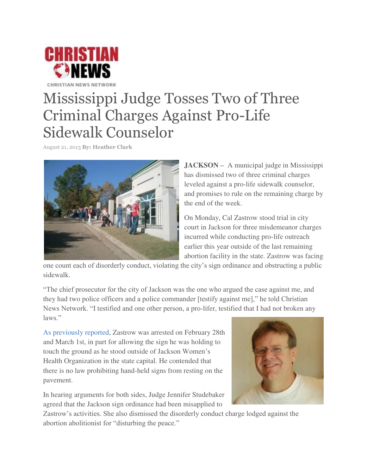

## Mississippi Judge Tosses Two of Three Criminal Charges Against Pro-Life Sidewalk Counselor

August 21, 2013 **By[: Heather Clark](http://christiannews.net/author/heather-clark/)**



**JACKSON –** A municipal judge in Mississippi has dismissed two of three criminal charges leveled against a pro-life sidewalk counselor, and promises to rule on the remaining charge by the end of the week.

On Monday, Cal Zastrow stood trial in city court in Jackson for three misdemeanor charges incurred while conducting pro-life outreach earlier this year outside of the last remaining abortion facility in the state. Zastrow was facing

one count each of disorderly conduct, violating the city's sign ordinance and obstructing a public sidewalk.

"The chief prosecutor for the city of Jackson was the one who argued the case against me, and they had two police officers and a police commander [testify against me]," he told Christian News Network. "I testified and one other person, a pro-lifer, testified that I had not broken any laws."

[As previously reported,](http://christiannews.net/2013/04/10/christians-arraigned-in-mississippi-cite-police-intimidation-outside-last-abortion-facility-in-state/) Zastrow was arrested on February 28th and March 1st, in part for allowing the sign he was holding to touch the ground as he stood outside of Jackson Women's Health Organization in the state capital. He contended that there is no law prohibiting hand-held signs from resting on the pavement.

In hearing arguments for both sides, Judge Jennifer Studebaker agreed that the Jackson sign ordinance had been misapplied to



Zastrow's activities. She also dismissed the disorderly conduct charge lodged against the abortion abolitionist for "disturbing the peace."